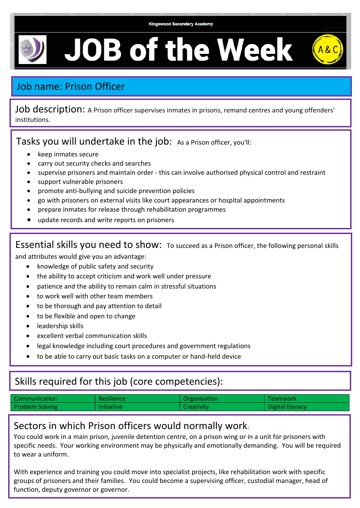$A$ &C

# **JOB of the Week**

## Job name: Prison Officer

Job description: A Prison officer supervises inmates in prisons, remand centres and young offenders' institutions.

Tasks you will undertake in the job: As a Prison officer, you'll:

- keep inmates secure
- carry out security checks and searches
- supervise prisoners and maintain order this can involve authorised physical control and restraint
- support vulnerable prisoners
- promote anti-bullying and suicide prevention policies
- go with prisoners on external visits like court appearances or hospital appointments
- prepare inmates for release through rehabilitation programmes
- update records and write reports on prisoners

Essential skills you need to show: To succeed as a Prison officer, the following personal skills

and attributes would give you an advantage:

- knowledge of public safety and security
- the ability to accept criticism and work well under pressure
- patience and the ability to remain calm in stressful situations
- to work well with other team members
- to be thorough and pay attention to detail
- to be flexible and open to change
- leadership skills
- excellent verbal communication skills
- legal knowledge including court procedures and government regulations
- to be able to carry out basic tasks on a computer or hand-held device

### Skills required for this job (core competencies):

| Communication          | <b>Resilience</b> | Organisation      | Teamwork         |
|------------------------|-------------------|-------------------|------------------|
| <b>Problem Solving</b> | <b>Initiative</b> | <b>Creativity</b> | Digital literacy |

#### Sectors in which Prison officers would normally work:

You could work in a main prison, juvenile detention centre, on a prison wing or in a unit for prisoners with specific needs. Your working environment may be physically and emotionally demanding. You will be required to wear a uniform.

With experience and training you could move into specialist projects, like rehabilitation work with specific groups of prisoners and their families. You could become a supervising officer, custodial manager, head of function, deputy governor or governor.